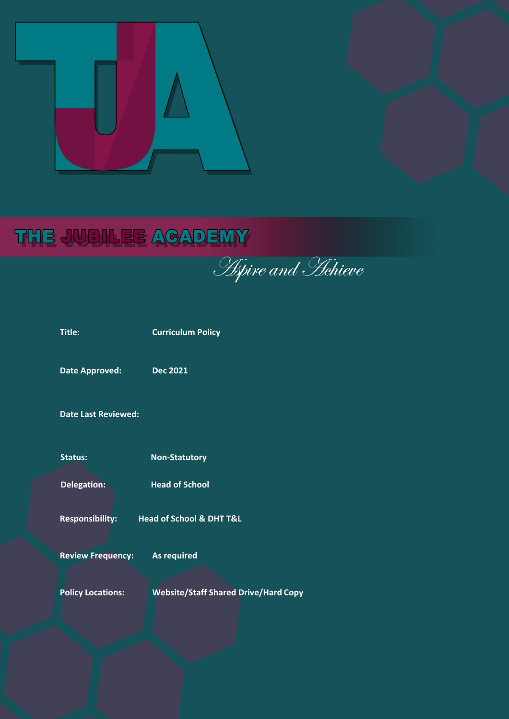

# **THE JUBILEE ACADEMY**

**Policy Locations: Website/Staff Shared Drive/Hard Copy**

| <b>Title:</b>              | <b>Curriculum Policy</b>                    |
|----------------------------|---------------------------------------------|
| <b>Date Approved:</b>      | <b>Dec 2021</b>                             |
| <b>Date Last Reviewed:</b> |                                             |
| <b>Status:</b>             | <b>Non-Statutory</b>                        |
| Delegation:                | <b>Head of School</b>                       |
|                            | Responsibility: Head of School & DHT T&L    |
| <b>Review Frequency:</b>   | <b>As required</b>                          |
| <b>Policy Locations:</b>   | <b>Website/Staff Shared Drive/Hard Copy</b> |
|                            |                                             |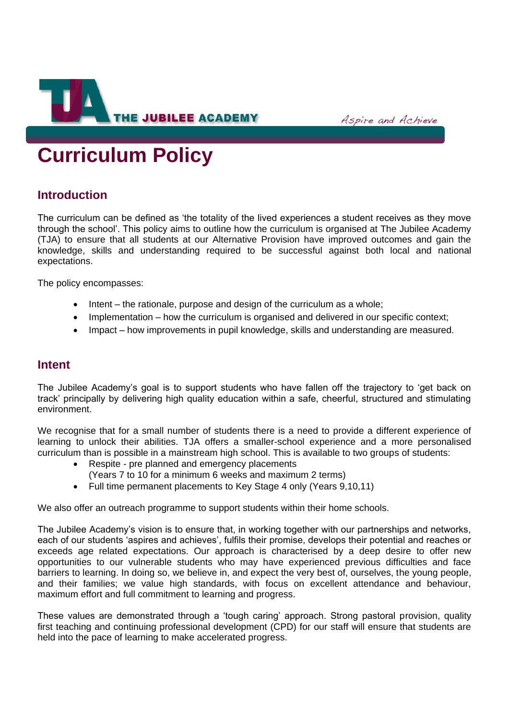

Aspire and Achieve

# **Curriculum Policy**

# **Introduction**

The curriculum can be defined as 'the totality of the lived experiences a student receives as they move through the school'. This policy aims to outline how the curriculum is organised at The Jubilee Academy (TJA) to ensure that all students at our Alternative Provision have improved outcomes and gain the knowledge, skills and understanding required to be successful against both local and national expectations.

The policy encompasses:

- Intent the rationale, purpose and design of the curriculum as a whole;
- Implementation how the curriculum is organised and delivered in our specific context;
- Impact how improvements in pupil knowledge, skills and understanding are measured.

## **Intent**

The Jubilee Academy's goal is to support students who have fallen off the trajectory to 'get back on track' principally by delivering high quality education within a safe, cheerful, structured and stimulating environment.

We recognise that for a small number of students there is a need to provide a different experience of learning to unlock their abilities. TJA offers a smaller-school experience and a more personalised curriculum than is possible in a mainstream high school. This is available to two groups of students:

- Respite pre planned and emergency placements
	- (Years 7 to 10 for a minimum 6 weeks and maximum 2 terms)
- Full time permanent placements to Key Stage 4 only (Years 9,10,11)

We also offer an outreach programme to support students within their home schools.

The Jubilee Academy's vision is to ensure that, in working together with our partnerships and networks, each of our students 'aspires and achieves', fulfils their promise, develops their potential and reaches or exceeds age related expectations. Our approach is characterised by a deep desire to offer new opportunities to our vulnerable students who may have experienced previous difficulties and face barriers to learning. In doing so, we believe in, and expect the very best of, ourselves, the young people, and their families; we value high standards, with focus on excellent attendance and behaviour, maximum effort and full commitment to learning and progress.

These values are demonstrated through a 'tough caring' approach. Strong pastoral provision, quality first teaching and continuing professional development (CPD) for our staff will ensure that students are held into the pace of learning to make accelerated progress.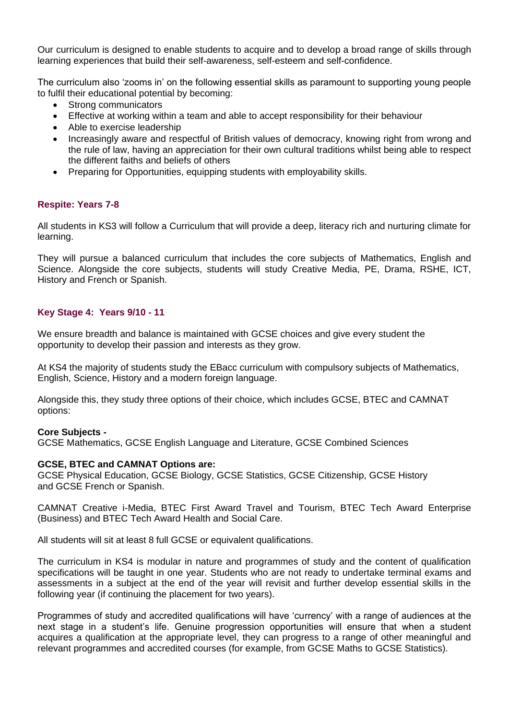Our curriculum is designed to enable students to acquire and to develop a broad range of skills through learning experiences that build their self-awareness, self-esteem and self-confidence.

The curriculum also 'zooms in' on the following essential skills as paramount to supporting young people to fulfil their educational potential by becoming:

- Strong communicators
- Effective at working within a team and able to accept responsibility for their behaviour
- Able to exercise leadership
- Increasingly aware and respectful of British values of democracy, knowing right from wrong and the rule of law, having an appreciation for their own cultural traditions whilst being able to respect the different faiths and beliefs of others
- Preparing for Opportunities, equipping students with employability skills.

## **Respite: Years 7-8**

All students in KS3 will follow a Curriculum that will provide a deep, literacy rich and nurturing climate for learning.

They will pursue a balanced curriculum that includes the core subjects of Mathematics, English and Science. Alongside the core subjects, students will study Creative Media, PE, Drama, RSHE, ICT, History and French or Spanish.

## **Key Stage 4: Years 9/10 - 11**

We ensure breadth and balance is maintained with GCSE choices and give every student the opportunity to develop their passion and interests as they grow.

At KS4 the majority of students study the EBacc curriculum with compulsory subjects of Mathematics, English, Science, History and a modern foreign language.

Alongside this, they study three options of their choice, which includes GCSE, BTEC and CAMNAT options:

#### **Core Subjects -**

GCSE Mathematics, GCSE English Language and Literature, GCSE Combined Sciences

#### **GCSE, BTEC and CAMNAT Options are:**

GCSE Physical Education, GCSE Biology, GCSE Statistics, GCSE Citizenship, GCSE History and GCSE French or Spanish.

CAMNAT Creative i-Media, BTEC First Award Travel and Tourism, BTEC Tech Award Enterprise (Business) and BTEC Tech Award Health and Social Care.

All students will sit at least 8 full GCSE or equivalent qualifications.

The curriculum in KS4 is modular in nature and programmes of study and the content of qualification specifications will be taught in one year. Students who are not ready to undertake terminal exams and assessments in a subject at the end of the year will revisit and further develop essential skills in the following year (if continuing the placement for two years).

Programmes of study and accredited qualifications will have 'currency' with a range of audiences at the next stage in a student's life. Genuine progression opportunities will ensure that when a student acquires a qualification at the appropriate level, they can progress to a range of other meaningful and relevant programmes and accredited courses (for example, from GCSE Maths to GCSE Statistics).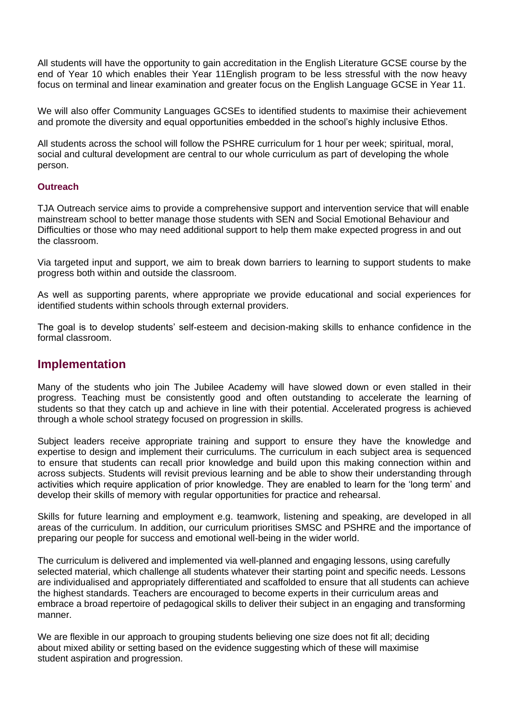All students will have the opportunity to gain accreditation in the English Literature GCSE course by the end of Year 10 which enables their Year 11English program to be less stressful with the now heavy focus on terminal and linear examination and greater focus on the English Language GCSE in Year 11.

We will also offer Community Languages GCSEs to identified students to maximise their achievement and promote the diversity and equal opportunities embedded in the school's highly inclusive Ethos.

All students across the school will follow the PSHRE curriculum for 1 hour per week; spiritual, moral, social and cultural development are central to our whole curriculum as part of developing the whole person.

## **Outreach**

TJA Outreach service aims to provide a comprehensive support and intervention service that will enable mainstream school to better manage those students with SEN and Social Emotional Behaviour and Difficulties or those who may need additional support to help them make expected progress in and out the classroom.

Via targeted input and support, we aim to break down barriers to learning to support students to make progress both within and outside the classroom.

As well as supporting parents, where appropriate we provide educational and social experiences for identified students within schools through external providers.

The goal is to develop students' self-esteem and decision-making skills to enhance confidence in the formal classroom.

## **Implementation**

Many of the students who join The Jubilee Academy will have slowed down or even stalled in their progress. Teaching must be consistently good and often outstanding to accelerate the learning of students so that they catch up and achieve in line with their potential. Accelerated progress is achieved through a whole school strategy focused on progression in skills.

Subject leaders receive appropriate training and support to ensure they have the knowledge and expertise to design and implement their curriculums. The curriculum in each subject area is sequenced to ensure that students can recall prior knowledge and build upon this making connection within and across subjects. Students will revisit previous learning and be able to show their understanding through activities which require application of prior knowledge. They are enabled to learn for the 'long term' and develop their skills of memory with regular opportunities for practice and rehearsal.

Skills for future learning and employment e.g. teamwork, listening and speaking, are developed in all areas of the curriculum. In addition, our curriculum prioritises SMSC and PSHRE and the importance of preparing our people for success and emotional well-being in the wider world.

The curriculum is delivered and implemented via well-planned and engaging lessons, using carefully selected material, which challenge all students whatever their starting point and specific needs. Lessons are individualised and appropriately differentiated and scaffolded to ensure that all students can achieve the highest standards. Teachers are encouraged to become experts in their curriculum areas and embrace a broad repertoire of pedagogical skills to deliver their subject in an engaging and transforming manner.

We are flexible in our approach to grouping students believing one size does not fit all; deciding about mixed ability or setting based on the evidence suggesting which of these will maximise student aspiration and progression.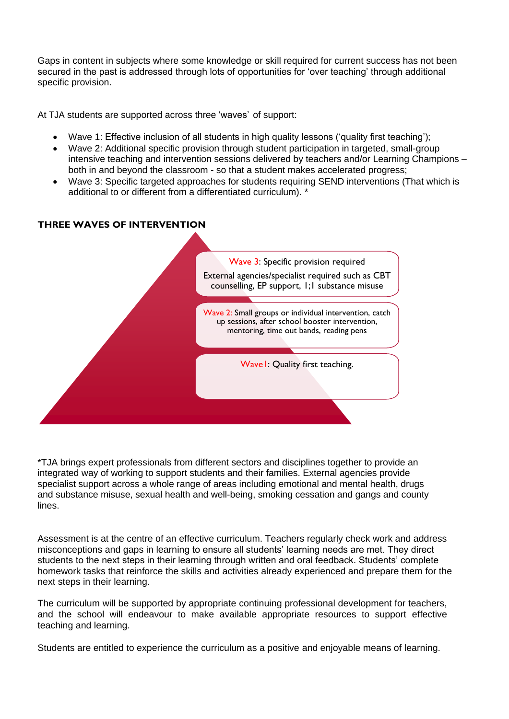Gaps in content in subjects where some knowledge or skill required for current success has not been secured in the past is addressed through lots of opportunities for 'over teaching' through additional specific provision.

At TJA students are supported across three 'waves' of support:

- Wave 1: Effective inclusion of all students in high quality lessons ('quality first teaching');
- Wave 2: Additional specific provision through student participation in targeted, small-group intensive teaching and intervention sessions delivered by teachers and/or Learning Champions – both in and beyond the classroom - so that a student makes accelerated progress;
- Wave 3: Specific targeted approaches for students requiring SEND interventions (That which is additional to or different from a differentiated curriculum). \*

## **THREE WAVES OF INTERVENTION**



\*TJA brings expert professionals from different sectors and disciplines together to provide an integrated way of working to support students and their families. External agencies provide specialist support across a whole range of areas including emotional and mental health, drugs and substance misuse, sexual health and well-being, smoking cessation and gangs and county lines.

Assessment is at the centre of an effective curriculum. Teachers regularly check work and address misconceptions and gaps in learning to ensure all students' learning needs are met. They direct students to the next steps in their learning through written and oral feedback. Students' complete homework tasks that reinforce the skills and activities already experienced and prepare them for the next steps in their learning.

The curriculum will be supported by appropriate continuing professional development for teachers, and the school will endeavour to make available appropriate resources to support effective teaching and learning.

Students are entitled to experience the curriculum as a positive and enjoyable means of learning.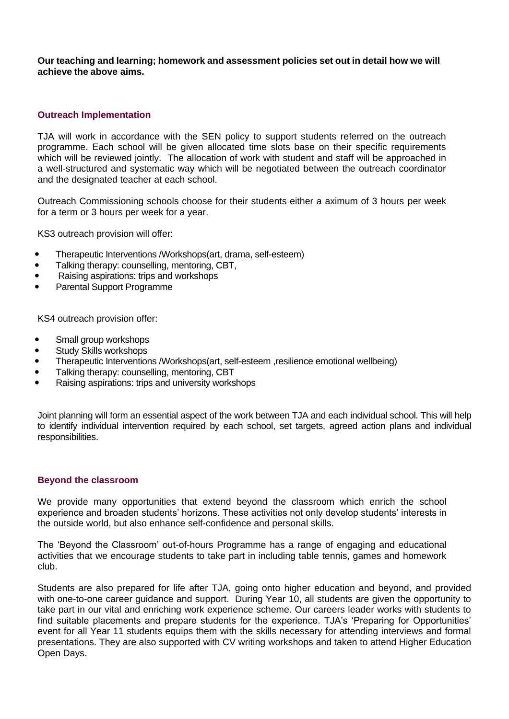**Our teaching and learning; homework and assessment policies set out in detail how we will achieve the above aims.**

#### **Outreach Implementation**

TJA will work in accordance with the SEN policy to support students referred on the outreach programme. Each school will be given allocated time slots base on their specific requirements which will be reviewed jointly. The allocation of work with student and staff will be approached in a well-structured and systematic way which will be negotiated between the outreach coordinator and the designated teacher at each school.

Outreach Commissioning schools choose for their students either a aximum of 3 hours per week for a term or 3 hours per week for a year.

KS3 outreach provision will offer:

- Therapeutic Interventions /Workshops(art, drama, self-esteem)
- Talking therapy: counselling, mentoring, CBT,
- Raising aspirations: trips and workshops
- Parental Support Programme

KS4 outreach provision offer:

- Small group workshops
- **•** Study Skills workshops
- Therapeutic Interventions /Workshops(art, self-esteem ,resilience emotional wellbeing)
- Talking therapy: counselling, mentoring, CBT
- Raising aspirations: trips and university workshops

Joint planning will form an essential aspect of the work between TJA and each individual school. This will help to identify individual intervention required by each school, set targets, agreed action plans and individual responsibilities.

#### **Beyond the classroom**

We provide many opportunities that extend beyond the classroom which enrich the school experience and broaden students' horizons. These activities not only develop students' interests in the outside world, but also enhance self-confidence and personal skills.

The 'Beyond the Classroom' out-of-hours Programme has a range of engaging and educational activities that we encourage students to take part in including table tennis, games and homework club.

Students are also prepared for life after TJA, going onto higher education and beyond, and provided with one-to-one career guidance and support. During Year 10, all students are given the opportunity to take part in our vital and enriching work experience scheme. Our careers leader works with students to find suitable placements and prepare students for the experience. TJA's 'Preparing for Opportunities' event for all Year 11 students equips them with the skills necessary for attending interviews and formal presentations. They are also supported with CV writing workshops and taken to attend Higher Education Open Days.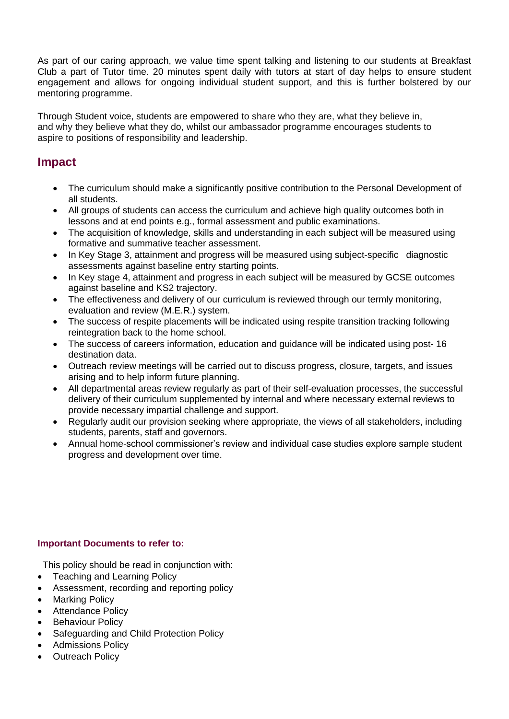As part of our caring approach, we value time spent talking and listening to our students at Breakfast Club a part of Tutor time. 20 minutes spent daily with tutors at start of day helps to ensure student engagement and allows for ongoing individual student support, and this is further bolstered by our mentoring programme.

Through Student voice, students are empowered to share who they are, what they believe in, and why they believe what they do, whilst our ambassador programme encourages students to aspire to positions of responsibility and leadership.

## **Impact**

- The curriculum should make a significantly positive contribution to the Personal Development of all students.
- All groups of students can access the curriculum and achieve high quality outcomes both in lessons and at end points e.g., formal assessment and public examinations.
- The acquisition of knowledge, skills and understanding in each subject will be measured using formative and summative teacher assessment.
- In Key Stage 3, attainment and progress will be measured using subject-specific diagnostic assessments against baseline entry starting points.
- In Key stage 4, attainment and progress in each subject will be measured by GCSE outcomes against baseline and KS2 trajectory.
- The effectiveness and delivery of our curriculum is reviewed through our termly monitoring, evaluation and review (M.E.R.) system.
- The success of respite placements will be indicated using respite transition tracking following reintegration back to the home school.
- The success of careers information, education and guidance will be indicated using post- 16 destination data.
- Outreach review meetings will be carried out to discuss progress, closure, targets, and issues arising and to help inform future planning.
- All departmental areas review regularly as part of their self-evaluation processes, the successful delivery of their curriculum supplemented by internal and where necessary external reviews to provide necessary impartial challenge and support.
- Regularly audit our provision seeking where appropriate, the views of all stakeholders, including students, parents, staff and governors.
- Annual home-school commissioner's review and individual case studies explore sample student progress and development over time.

## **Important Documents to refer to:**

This policy should be read in conjunction with:

- Teaching and Learning Policy
- Assessment, recording and reporting policy
- Marking Policy
- Attendance Policy
- **Behaviour Policy**
- Safeguarding and Child Protection Policy
- Admissions Policy
- **Outreach Policy**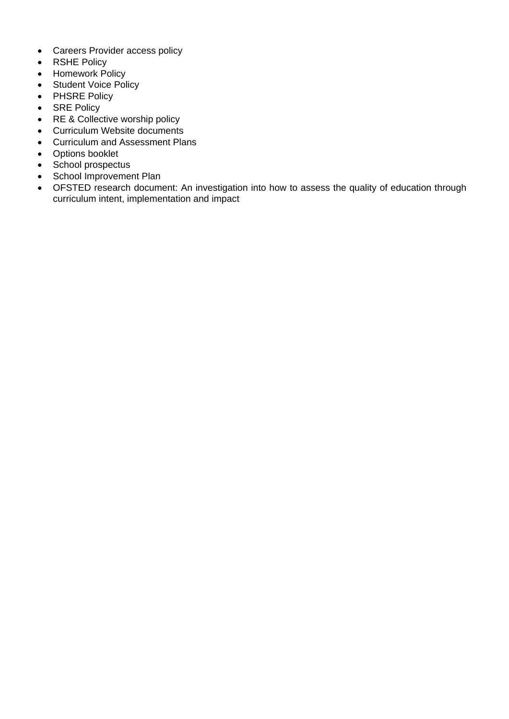- Careers Provider access policy
- RSHE Policy
- Homework Policy
- Student Voice Policy
- PHSRE Policy
- SRE Policy
- RE & Collective worship policy
- Curriculum Website documents
- Curriculum and Assessment Plans
- Options booklet
- School prospectus
- School Improvement Plan
- OFSTED research document: An investigation into how to assess the quality of education through curriculum intent, implementation and impact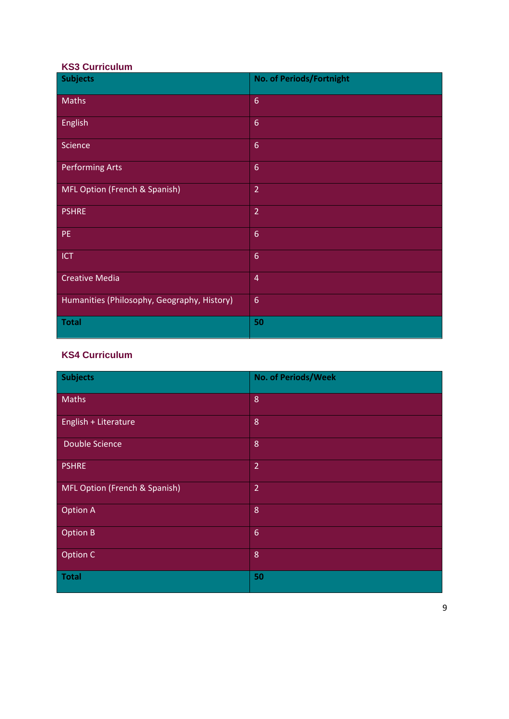## **KS3 Curriculum**

| <b>Subjects</b>                             | No. of Periods/Fortnight |
|---------------------------------------------|--------------------------|
| <b>Maths</b>                                | $6\phantom{1}$           |
| <b>English</b>                              | $6\overline{6}$          |
| Science                                     | $6\phantom{a}$           |
| <b>Performing Arts</b>                      | $6\phantom{1}$           |
| MFL Option (French & Spanish)               | $\overline{2}$           |
| <b>PSHRE</b>                                | $\overline{2}$           |
| PE.                                         | $6\phantom{a}$           |
| <b>ICT</b>                                  | $6\phantom{1}$           |
| <b>Creative Media</b>                       | $\overline{4}$           |
| Humanities (Philosophy, Geography, History) | $6\phantom{1}6$          |
| <b>Total</b>                                | 50                       |

## **KS4 Curriculum**

| Subjects                      | No. of Periods/Week |
|-------------------------------|---------------------|
| Maths                         | 8                   |
| English + Literature          | 8                   |
| Double Science                | 8                   |
| <b>PSHRE</b>                  | $\overline{2}$      |
| MFL Option (French & Spanish) | $\overline{2}$      |
| Option A                      | 8                   |
| Option B                      | $6\phantom{1}6$     |
| Option C                      | 8                   |
| Total                         | 50                  |